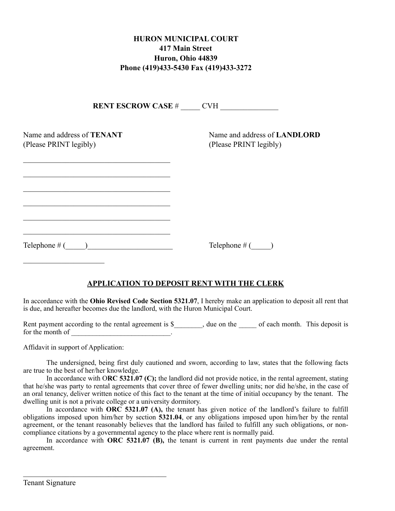## **HURON MUNICIPAL COURT 417 Main Street Huron, Ohio 44839 Phone (419)433-5430 Fax (419)433-3272**

| <b>RENT ESCROW CASE # CVH</b>                        |                                                        |
|------------------------------------------------------|--------------------------------------------------------|
| Name and address of TENANT<br>(Please PRINT legibly) | Name and address of LANDLORD<br>(Please PRINT legibly) |
|                                                      |                                                        |
|                                                      |                                                        |
| Telephone $#$ (                                      | Telephone $#($ )                                       |

## **APPLICATION TO DEPOSIT RENT WITH THE CLERK**

In accordance with the **Ohio Revised Code Section 5321.07**, I hereby make an application to deposit all rent that is due, and hereafter becomes due the landlord, with the Huron Municipal Court.

Rent payment according to the rental agreement is \$\_\_\_\_\_\_, due on the \_\_\_\_\_ of each month. This deposit is for the month of

Affidavit in support of Application:

 $\mathcal{L}_\text{max}$  and  $\mathcal{L}_\text{max}$  and  $\mathcal{L}_\text{max}$  and  $\mathcal{L}_\text{max}$ 

The undersigned, being first duly cautioned and sworn, according to law, states that the following facts are true to the best of her/her knowledge.

In accordance with O**RC 5321.07 (C);** the landlord did not provide notice, in the rental agreement, stating that he/she was party to rental agreements that cover three of fewer dwelling units; nor did he/she, in the case of an oral tenancy, deliver written notice of this fact to the tenant at the time of initial occupancy by the tenant. The dwelling unit is not a private college or a university dormitory.

In accordance with **ORC 5321.07 (A),** the tenant has given notice of the landlord's failure to fulfill obligations imposed upon him/her by section **5321.04**, or any obligations imposed upon him/her by the rental agreement, or the tenant reasonably believes that the landlord has failed to fulfill any such obligations, or noncompliance citations by a governmental agency to the place where rent is normally paid.

In accordance with **ORC 5321.07 (B),** the tenant is current in rent payments due under the rental agreement.